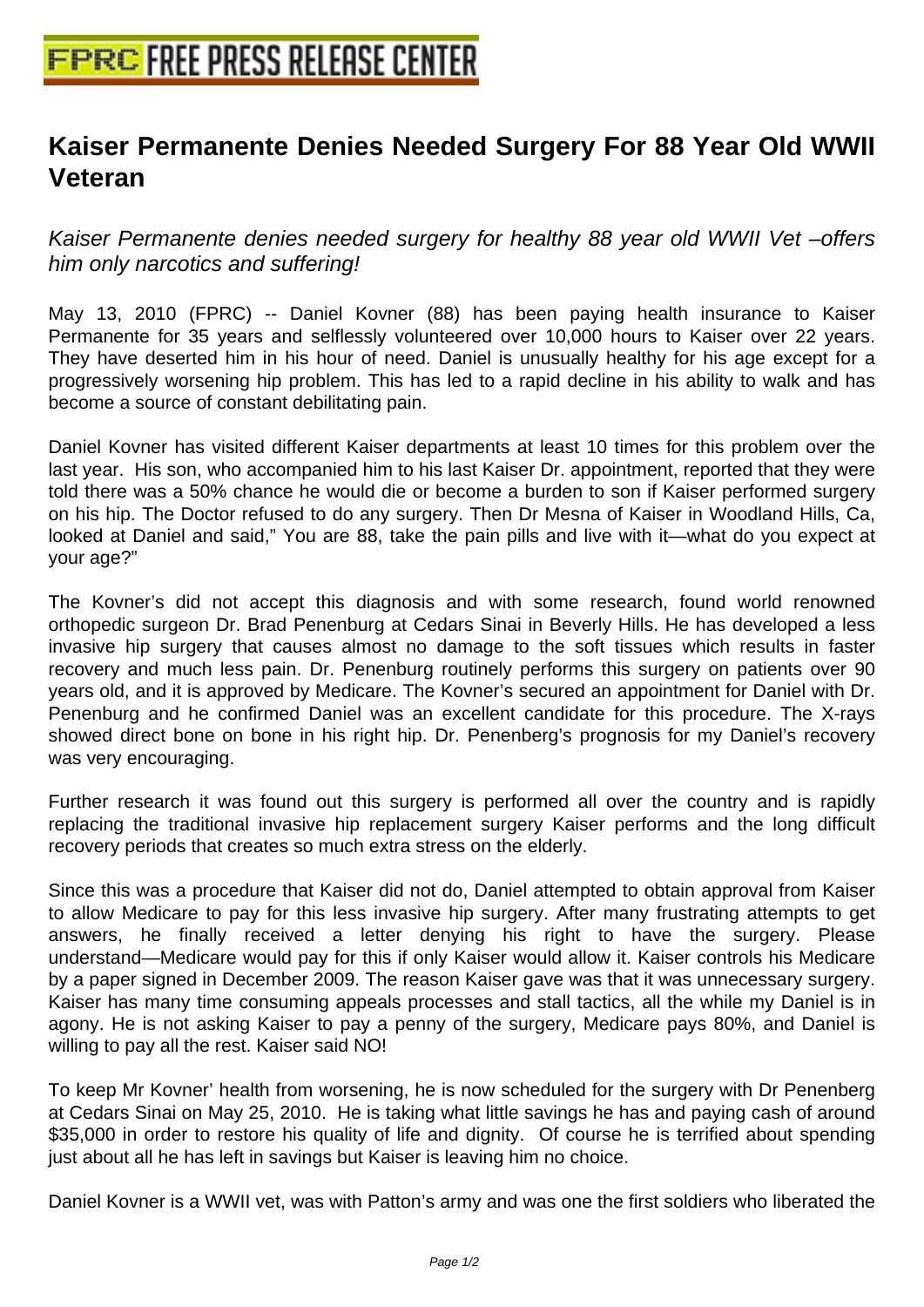## **[Kaiser Permanente Denies Needed](http://www.free-press-release-center.info) Surgery For 88 Year Old WWII Veteran**

Kaiser Permanente denies needed surgery for healthy 88 year old WWII Vet –offers him only narcotics and suffering!

May 13, 2010 (FPRC) -- Daniel Kovner (88) has been paying health insurance to Kaiser Permanente for 35 years and selflessly volunteered over 10,000 hours to Kaiser over 22 years. They have deserted him in his hour of need. Daniel is unusually healthy for his age except for a progressively worsening hip problem. This has led to a rapid decline in his ability to walk and has become a source of constant debilitating pain.

Daniel Kovner has visited different Kaiser departments at least 10 times for this problem over the last year. His son, who accompanied him to his last Kaiser Dr. appointment, reported that they were told there was a 50% chance he would die or become a burden to son if Kaiser performed surgery on his hip. The Doctor refused to do any surgery. Then Dr Mesna of Kaiser in Woodland Hills, Ca, looked at Daniel and said," You are 88, take the pain pills and live with it—what do you expect at your age?"

The Kovner's did not accept this diagnosis and with some research, found world renowned orthopedic surgeon Dr. Brad Penenburg at Cedars Sinai in Beverly Hills. He has developed a less invasive hip surgery that causes almost no damage to the soft tissues which results in faster recovery and much less pain. Dr. Penenburg routinely performs this surgery on patients over 90 years old, and it is approved by Medicare. The Kovner's secured an appointment for Daniel with Dr. Penenburg and he confirmed Daniel was an excellent candidate for this procedure. The X-rays showed direct bone on bone in his right hip. Dr. Penenberg's prognosis for my Daniel's recovery was very encouraging.

Further research it was found out this surgery is performed all over the country and is rapidly replacing the traditional invasive hip replacement surgery Kaiser performs and the long difficult recovery periods that creates so much extra stress on the elderly.

Since this was a procedure that Kaiser did not do, Daniel attempted to obtain approval from Kaiser to allow Medicare to pay for this less invasive hip surgery. After many frustrating attempts to get answers, he finally received a letter denying his right to have the surgery. Please understand—Medicare would pay for this if only Kaiser would allow it. Kaiser controls his Medicare by a paper signed in December 2009. The reason Kaiser gave was that it was unnecessary surgery. Kaiser has many time consuming appeals processes and stall tactics, all the while my Daniel is in agony. He is not asking Kaiser to pay a penny of the surgery, Medicare pays 80%, and Daniel is willing to pay all the rest. Kaiser said NO!

To keep Mr Kovner' health from worsening, he is now scheduled for the surgery with Dr Penenberg at Cedars Sinai on May 25, 2010. He is taking what little savings he has and paying cash of around \$35,000 in order to restore his quality of life and dignity. Of course he is terrified about spending just about all he has left in savings but Kaiser is leaving him no choice.

Daniel Kovner is a WWII vet, was with Patton's army and was one the first soldiers who liberated the